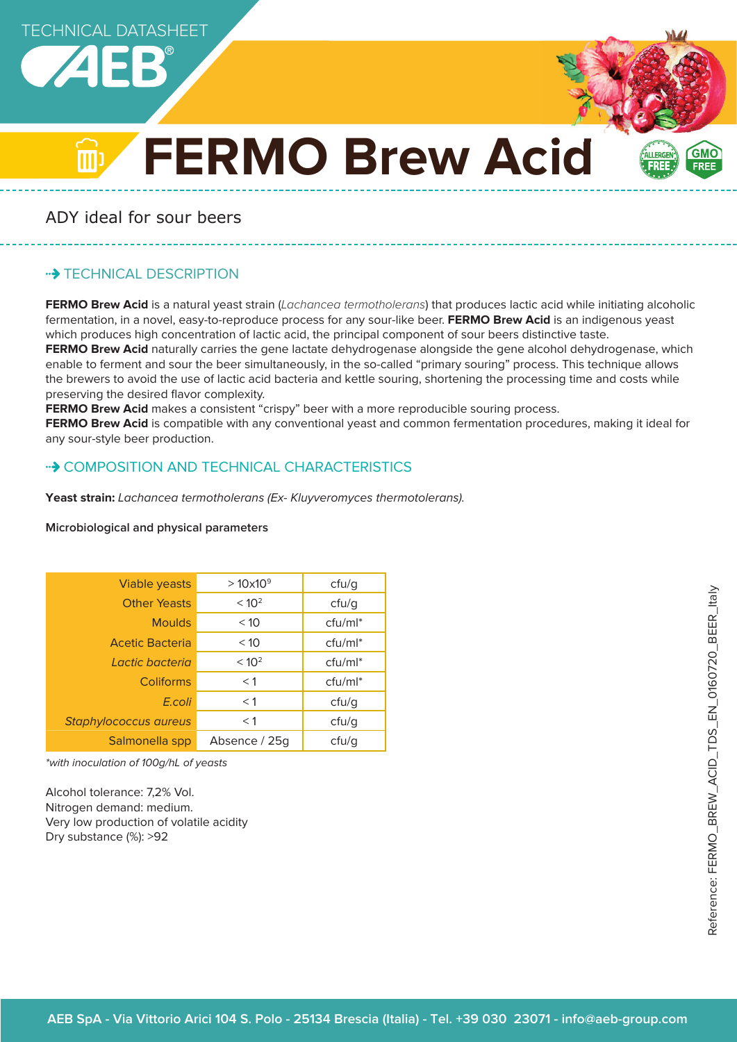



कान

# **FERMO Brew Acid**

ADY ideal for sour beers

# **\*\*> TECHNICAL DESCRIPTION**

**FERMO Brew Acid** is a natural yeast strain (Lachancea termotholerans) that produces lactic acid while initiating alcoholic fermentation, in a novel, easy-to-reproduce process for any sour-like beer. **FERMO Brew Acid** is an indigenous yeast which produces high concentration of lactic acid, the principal component of sour beers distinctive taste. **FERMO Brew Acid** naturally carries the gene lactate dehydrogenase alongside the gene alcohol dehydrogenase, which enable to ferment and sour the beer simultaneously, in the so-called "primary souring" process. This technique allows the brewers to avoid the use of lactic acid bacteria and kettle souring, shortening the processing time and costs while preserving the desired flavor complexity.

**FERMO Brew Acid** makes a consistent "crispy" beer with a more reproducible souring process.

**FERMO Brew Acid** is compatible with any conventional yeast and common fermentation procedures, making it ideal for any sour-style beer production.

# • COMPOSITION AND TECHNICAL CHARACTERISTICS

Yeast strain: Lachancea termotholerans (Ex- Kluyveromyces thermotolerans).

| <b>Viable yeasts</b>   | $>10\times10^{9}$ | ctu/g      |
|------------------------|-------------------|------------|
| <b>Other Yeasts</b>    | < 10 <sup>2</sup> | ctu/g      |
| <b>Moulds</b>          | < 10              | $ctu/ml^*$ |
| <b>Acetic Bacteria</b> | < 10              | $ctu/ml^*$ |
| I actic bacteria       | < 10 <sup>2</sup> | cfu/ml*    |
| Coliforms              | $<$ 1             | $ctu/ml^*$ |
| E.coli                 | $<$ 1             | ctu/g      |
| Staphylococcus aureus  | $<$ 1             | ctu/g      |
| Salmonella spp         | Absence / 25g     | cfu/q      |

#### **Microbiological and physical parameters**

\*with inoculation of 100g/hL of yeasts

Alcohol tolerance: 7,2% Vol. Nitrogen demand: medium. Very low production of volatile acidity Dry substance (%): >92